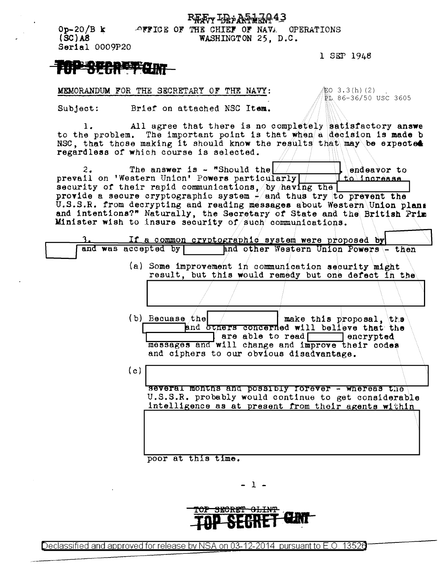**REAV IRPARTING 43** 

 $Op-20/B k$ AFFICE OF THE CHIEF OF NAV. OPERATIONS WASHINGTON 25, D.C.  $(SC)$  A8 Serial 0009P20

1 SEP 1948

# **学科研究科学学研究**

#### MEMORANDUM FOR THE SECRETARY OF THE NAVY:

 $EO$  3.3(h)(2) PL 86-36/50 USC 3605

Subject: Brief on attached NSC Item.

All agree that there is no completely satisfactory answe 1. to the problem. The important point is that when a decision is made b NSC, that those making it should know the results that may be expected regardless of which course is selected.

The answer is  $\sim$  "Should the  $\sim$  $2.$ endeavor to prevail on 'Western Union' Powers particularly Ito increase security of their rapid communications, by having the provide a secure cryptographic system  $\frac{1}{2}$  and thus try to prevent the U.S.S.R. from decrypting and reading messages about Western Union plans and intentions?" Naturally, the Secretary of State and the British Prim Minister wish to insure security of such communications.

If a common cryptographic system were proposed by and was accepted by | had other Western Union Powers - then (a) Some improvement in communication security might result, but this would remedy but one defect in the  $(b)$  Becuase the make this proposal, the and *bthers* concerned will believe that the are able to read encrypted messages and will change and improve their codes and ciphers to our obvious disadvantage.  $(c)$ several months and possibly forever - whereas the U.S.S.R. probably would continue to get considerable intelligence as at present from their agents within poor at this time.

 $-1-$ 

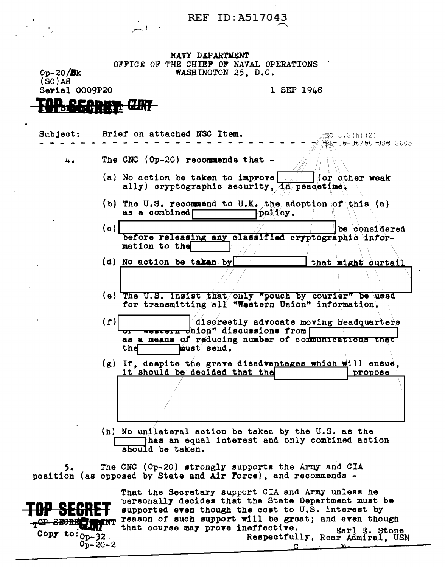## **REF ID:A517043**

NAVY DEPARTMENT OFFICE OF THE CHIEF OF NAVAL OPERATIONS WASHINGTON 25, D.C.

 $(SC)$  A8 Serial 0009P20 **IP AGA** ЯЫ

 $0p - 20/3k$ 

1 SEP 1948

Subject: Brief on attached NSC Item. tO 3.3(h)(2) The CNC (Op-20) recommends that  $-$ 4. (a) No action be taken to improve  $\frac{1}{\sqrt{2}}$  (or other weak ally) cryptographic security, An peacetime, (b) The U.S. recommend to U.K. the adoption of this (a) as a combined policy.  $(c)$ be considered before releasing any classified cryptographic information to the (d) No action be taken by that might curtail (e) The U.S. insist that/only "pouch by courier" be used for transmitting all "Western Union" information.  $(f)$ discreetly advocate moving headquarters western dnion" discussions from as a means of reducing number of communications that must send. the (g) If, despite the grave disadvantages which will ensue, it should be decided that the propose (h) No unilateral action be taken by the U.S. as the Thas an equal interest and only combined action should be taken.

The CNC (0p-20) strongly supports the Army and CIA position (as opposed by State and Air Force), and recommends -

That the Secretary support CIA and Army unless he personally decides that the State Department must be supported even though the cost to U.S. interest by reason of such support will be great; and even though that course may prove ineffective. Earl E. Stone Copy to:  $_{0p-32}$ Respectfully, Rear Admiral, USN  $0_{\text{D}-20-2}$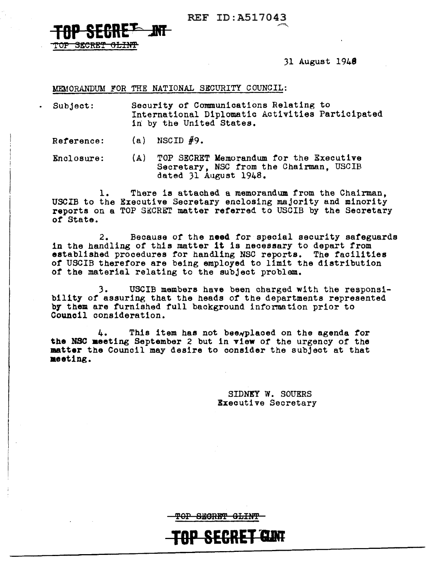REF ID:A517043

31 August 1948

MEMORANDUM FOR THE NATIONAL SECURITY COUNCIL:

Subject: Security of Communications Relating to International Diplomatic Activities Participated in by the United States.

Reference:  $(a)$  NSCID  $#9.$ 

**TOP SEB·RE'h JNr**  <del>SECRET GLINT</del>

Enclosure: (A) TOP SECRET Memorandum for the Executive Secretary, NSC from the Chairman, USCIB dated Jl August 1948.

1. USCIB to the Executive Secretary enclosing majority and minority USCIB to the Executive Secretary enclosing majority and minority reports on a TOP SECRET matter referred to USCIB by the Secretary *of* State. There is attached a memorandum from the Chairman,

2. Because *of* the need for special security safeguards in the handling of this matter it is necessary to depart from established procedures for handling NSC reports. The facilities *ot* USCIB therefore are being employed to limit the distribution *ot* the material relating to the subject problem.

J. USCIB members have been charged with the responsi- bility or assuring that the heads *of* the departments represented by them are furnished full background information prior to Council consideration.

4. This item has not bee~plaoed on the agenda *tor*  the NSC aeeting September *2* but in view or the urgency or the matter the Council may desire to consider the subject at that meeting.

> SIDNEY W. SOUERS Executive Secretary

<del>top Secret Glint</del>

**SECRET~CLNT**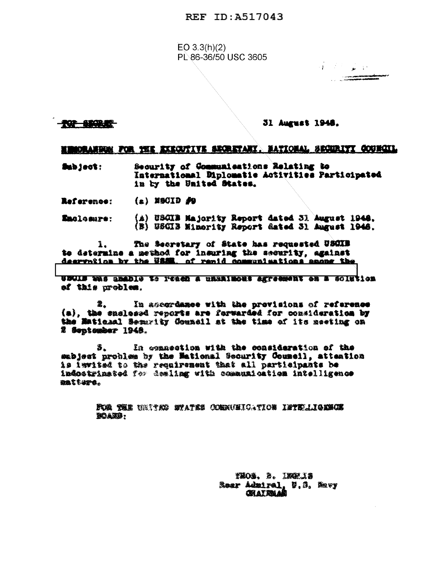## REF ID: A517043

 $EO$  3.3(h)(2) PI 86-36/50 USC 3605

**TOP BEORRY** 

31 August 1948.

 $\hat{Y} = \hat{Z} \hat{Z} - \hat{Z} \hat{Z}$ 

## MEMORANDEM FOR THE EXECUTIVE SECRETARY. MATIONAL SECREITY COUNCIL

Security of Communications Relating to Subject: International Diplomatic Activities Participated in by the United States.

Reference: (a) NSCID 50

(A) USCIB Majority Report dated 3). August 1948. Enclosure: (B) USCIB Minority Report dated 31 August 1946.

The Secretary of State has requested USCIB 1. to determine a method for insuring the security, against<br>deervation by the USSE, of reald communications among the

NUGLIS WAS ABADIO TO recen a unsalmous agrooment on a solution of this problem.

2. In accordance with the provisions of reference (a), the snelessd reports are forwarded for consideration by the Maticlal Sesarity Council at the time of its neeting on **2 September 1948.** 

In connection with the consideration of the 8. subject problem by the Mational Security Council, attention is lavited to the regairement that all participants be indostrinated for demiing with communication intelligence **BATture.** 

> FOR THE VEITAR STATES CONSUSIONTION INTELIONICS **BOANS:**

> > THOS. D. INGLIS Soar Admiral. U.S. Mavy CHAIRMAR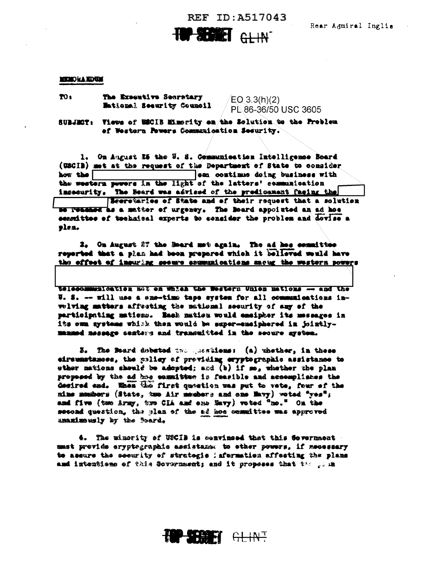**REF ID: A517043** 

**P SERET** GLINT

#### **MOIORA HOUM**

TO<sub>i</sub> The Exsentive Secretary Mational Security Council

 $EO 3.3(h)(2)$ PL 86-36/50 USC 3605

SUBJECT: Views of USCIB Eimerity on the Solution to the Problem of Western Powers Commanication Security.

1. On August 25 the W. S. Communication Intelligence Board (USCIB) met at the request of the Department of State to consider how the esa continue doing business with the western pewers in the light of the latters' communication insecurity. The Beard was advised of the predicament fasing the

Beerstaries of State and of their request that a solution **Be Teached as a matter of urgensy. The Board appointed an ad hoe** sensittee of tochaisal experts to consider the problem and dovise a plen.

2. On August 27 the Beard met again. The ad hes committee reported that a plan had been prepared which it believed would have the effect of insuring secure acumunications macug the western powers

telecommunication mot ca which the Western Union mations -- and the W. S. -- will use a czo-timo tape system for all communications inwiving matters affecting the national security of any of the participating matiens. Rash matien would emsipher its messages in its own systems which then would be super-emaiphered in jointlymanned message senters and transmitted in the secure mystem.

3. The Beard debuted two questions: (a) whether, in these eirsumstames, the gulicy of providing eryptographic assistance to sther mations should be adopted; and (b) if so, whether the plan proposed by the ad has segniture is fearible and accomplishes the desired ead. When the first question was put to vete, four of the nime mushers (State, two Air members and ene Mavy) woted "yes"; and five (too Army, two CIA and ene Navy) veted "no." On the second question, the plan of the ad hoe committee was approved anaximensly by the Beard.

4. The wincrity of USCIB is convineed that this Sovernment mast provide eryptegraphic assistance to other powers, if mecessary to assure the security of strategic : aformation affecting the plans and intentions of this Govornment; and it proposes that the plan

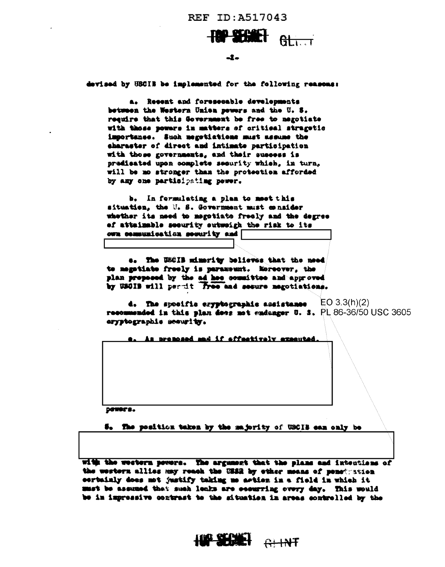

#### $-2-$

devised by USCIB be implemented for the following reasons:

a. Recent and foreseeable developments between the Western Union powers and the U.S. require that this Government be free to magotiate with those powers in matters of critical stragetic importance. Such megetiations must assume the character of direct and intimate participation with those governments, and their suscess is predicated upon complete security which, in turn. will be no stronger than the protection afforded by any one participating power.

b. In fermulating a plan to meet this situation, the U.S. Government must mensider whether its need to magetiate freely and the degree of attainable security sutwoigh the risk to its own communication sowerity and

e. The UECIB mimerity believes that the meed te magatiate freely is parameunt. Hereover, the plan proposed by the ad hee committee and approved by USCIB will permit free and secure megotiations.

d. The specific exyptographic assistance  $EO(3.3(h)(2))$ recommended in this plan dees not endanger U. S. PL 86-36/50 USC 3605 aryptographic scourity.

As premosed mad if effectively executed.

powers.

5. The position taken by the majority of USCIB can only be

with the western pewers. The argument that the plans and intentions of the western allies may reach the USSR by ether means of penetration serbainly does met matify taking me astien in a field in which it must be assumed that such leaks are essurring overy day. This would be in impressive contrast to the situation in areas controlled by the

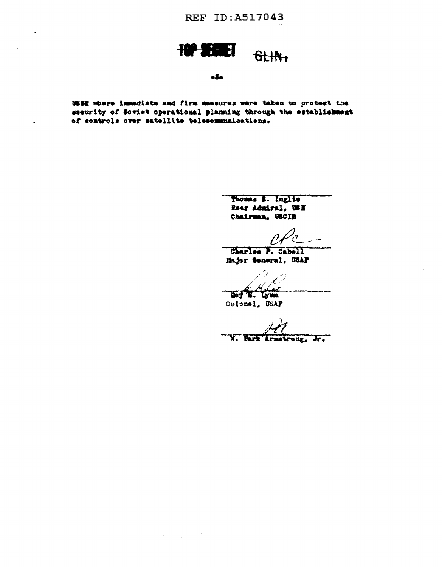REF ID:A517043

#### 21 Н  $f_1 + f_2 + f_3$

 $-\delta$ 

USSE where immediate and firm measures were taken to protect the security of Soviet operational planning through the establishment of controls over satellite telecommunications.

> Thomas B. Inglis Rear Admiral, USN Chairman, USCIB

Charles F. Cabell Majer General, USAF

hof H. Lynn Colonel, USAF

И. Furk trong, F.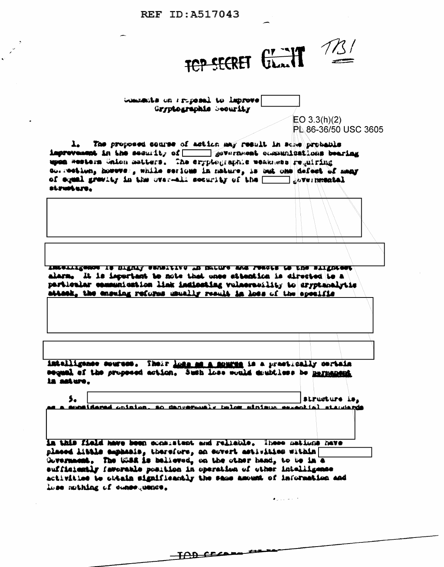REF ID: A517043

FOR SECRET GL. IT Wasasta on repeat to laprove Gryptographic Security  $EO 3.3(h)(2)$ PL 86-36/50 USC 3605  $\mathbf{L}$ The proposed sourse of action may result in some probable improvement in the security of asystement communications bearing upen Western Union matters. The eryptographic weakness requiring correction, however, while serious in mature, is out one defect of many of equal gravity in the over-all security of the all governmental strusters. THRATTIRANNA IS GIRUTI SSUNIAIAA TO UMTALA SAG LASGIS AS PUS STITUPPSA alarm, It is important to note that ones steantica is directed to a particular communication link indicating vulneracility to drypt-malrtie attack, the ensuing refurse usually result in loss of the specific intelligence sources. Their loss as a nourus is a prestically certain sequel of the proposed action. Such Loss would doubtiess be parament in asture. structure is. s. sunsidered unisian, so denverusely below sinisms expected standards in this field have been occarstent and reliable. These mations have placed libble emphasis, therefore, an exvert metivities within [ Ouvernment, The 1022 is believed, on the other hand, to be in  $\overline{a}$ sufficiently favorable position in operation of other intelligence activities to chtain significantly the same amount of information and lise muthing of comes achos. المستورية

TAD CECARE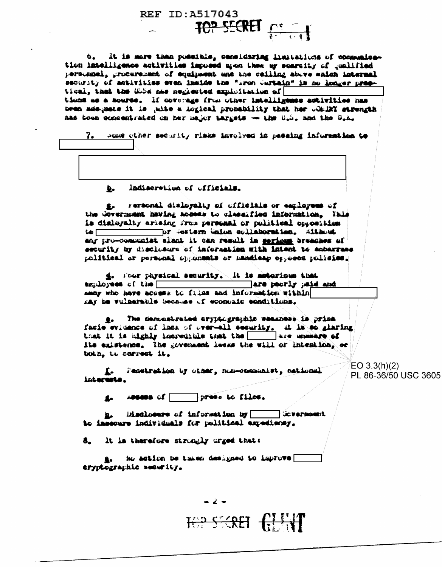Ó. It is more than poesible, censidering limitations of communication intelligence activities imposed moon them by scarcity of qualified personnel, procurement of equipment and the ceiling above which internal security of activities even inside the "iron Curtain" is no longer prestical, that the Widd has neglected exploitation of tions as a source. If coverage from other intelligence activities has been adequate it is quite a logical probability that her coming strength has been concentrated on her major targets -- the U.S. and the U.K.

**TOP SECRET**  $p_1 - 1$ 

bear ciher security risks involved in pessing information to

Indiscretion of officials. Ł.

**REF ID: A517043** 

Ferencial disloyably of officials or employees of **Sec.** the Government having access to classified information. Tale is disleraliy arising from personal or political opposition to the matter of the model of the model of the contract of any pro-communist alant it can result in perions breaches of security by disclusion of information with intent to exterrase political or personal opponents or nandicap equescs policies.

d. Four physical security. It is meterious that employees of the are peorly paid and amay who have access to files and information within say be vulnerable because of economic sonditions.

The demonstrated cryptographic weakness is prime  $\bullet$ facie evidence of lass of over-all security. It is so glaring that it is highly incredible that the see unware of its existence. The government lasks the will or intention, or both, to correct it.

Penetration by sther, hun-communist, national L. interests.

 $EO 3.3(h)(2)$ PL 86-36/50 USC 3605

ADBORS OF press to files. £.

Maclesure of information by Covernment. h. to insecure individuals for political axpediency.

8. - It is therefore strongly urged that:

No action be taken designed to improve [ eryptographic security.